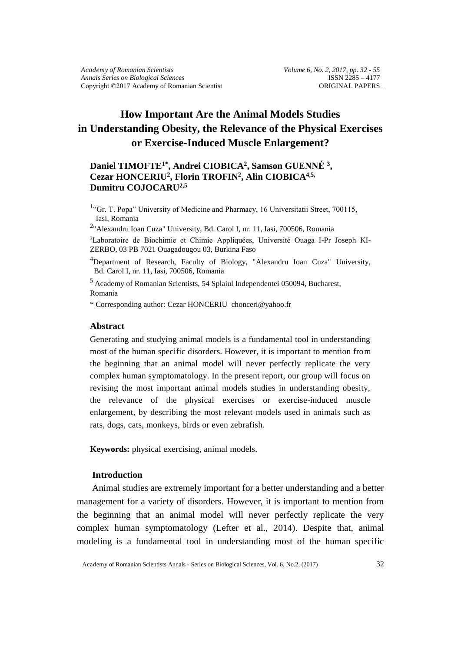# **How Important Are the Animal Models Studies in Understanding Obesity, the Relevance of the Physical Exercises or Exercise-Induced Muscle Enlargement?**

# **Daniel TIMOFTE1\* , Andrei CIOBICA<sup>2</sup> , Samson GUENNÉ <sup>3</sup> , Cezar HONCERIU<sup>2</sup> , Florin TROFIN<sup>2</sup> , Alin CIOBICA4,5, Dumitru COJOCARU2,5**

<sup>1</sup>"Gr. T. Popa" University of Medicine and Pharmacy, 16 Universitatii Street, 700115, Iasi, Romania

2 "Alexandru Ioan Cuza" University, Bd. Carol I, nr. 11, Iasi, 700506, Romania

3Laboratoire de Biochimie et Chimie Appliquées, Université Ouaga I-Pr Joseph KI-ZERBO, 03 PB 7021 Ouagadougou 03, Burkina Faso

<sup>4</sup>Department of Research, Faculty of Biology, "Alexandru Ioan Cuza" University, Bd. Carol I, nr. 11, Iasi, 700506, Romania

<sup>5</sup> Academy of Romanian Scientists, 54 Splaiul Independentei 050094, Bucharest, Romania

\* Corresponding author: Cezar HONCERIUchonceri@yahoo.fr

#### **Abstract**

Generating and studying animal models is a fundamental tool in understanding most of the human specific disorders. However, it is important to mention from the beginning that an animal model will never perfectly replicate the very complex human symptomatology. In the present report, our group will focus on revising the most important animal models studies in understanding obesity, the relevance of the physical exercises or exercise-induced muscle enlargement, by describing the most relevant models used in animals such as rats, dogs, cats, monkeys, birds or even zebrafish.

**Keywords:** physical exercising, animal models.

# **Introduction**

Animal studies are extremely important for a better understanding and a better management for a variety of disorders. However, it is important to mention from the beginning that an animal model will never perfectly replicate the very complex human symptomatology (Lefter et al., 2014). Despite that, animal modeling is a fundamental tool in understanding most of the human specific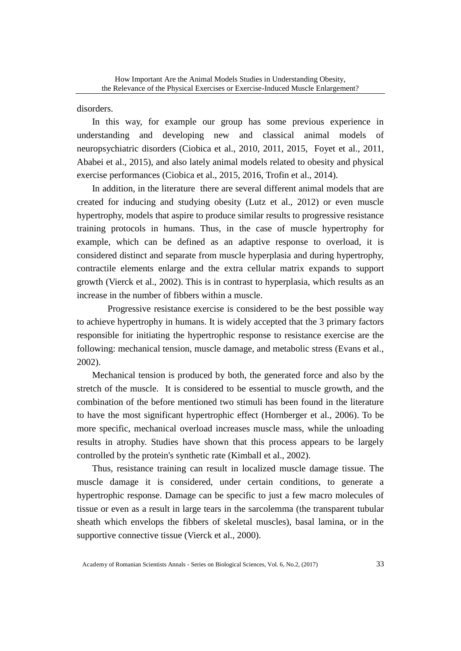disorders.

In this way, for example our group has some previous experience in understanding and developing new and classical animal models of neuropsychiatric disorders (Ciobica et al., 2010, 2011, 2015, Foyet et al., 2011, Ababei et al., 2015), and also lately animal models related to obesity and physical exercise performances (Ciobica et al., 2015, 2016, Trofin et al., 2014).

In addition, in the literature there are several different animal models that are created for inducing and studying obesity (Lutz et al., 2012) or even muscle hypertrophy, models that aspire to produce similar results to progressive resistance training protocols in humans. Thus, in the case of muscle hypertrophy for example, which can be defined as an adaptive response to overload, it is considered distinct and separate from muscle hyperplasia and during hypertrophy, contractile elements enlarge and the extra cellular matrix expands to support growth (Vierck et al., 2002). This is in contrast to hyperplasia, which results as an increase in the number of fibbers within a muscle.

 Progressive resistance exercise is considered to be the best possible way to achieve hypertrophy in humans. It is widely accepted that the 3 primary factors responsible for initiating the hypertrophic response to resistance exercise are the following: mechanical tension, muscle damage, and metabolic stress (Evans et al., 2002).

 Mechanical tension is produced by both, the generated force and also by the stretch of the muscle. It is considered to be essential to muscle growth, and the combination of the before mentioned two stimuli has been found in the literature to have the most significant hypertrophic effect (Hornberger et al., 2006). To be more specific, mechanical overload increases muscle mass, while the unloading results in atrophy. Studies have shown that this process appears to be largely controlled by the protein's synthetic rate (Kimball et al., 2002).

 Thus, resistance training can result in localized muscle damage tissue. The muscle damage it is considered, under certain conditions, to generate a hypertrophic response. Damage can be specific to just a few macro molecules of tissue or even as a result in large tears in the sarcolemma (the transparent tubular sheath which envelops the fibbers of skeletal muscles), basal lamina, or in the supportive connective tissue (Vierck et al., 2000).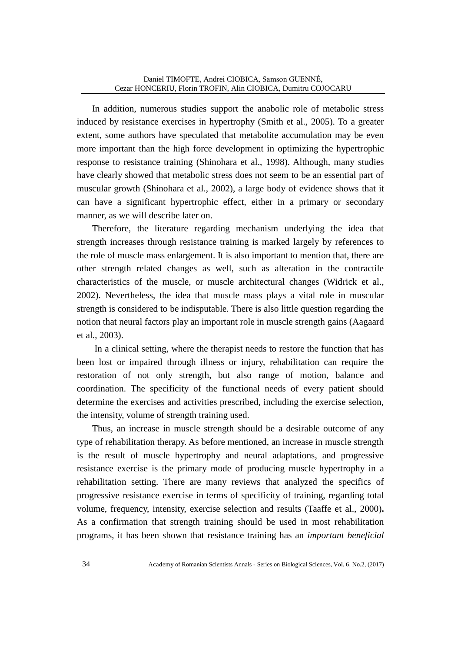In addition, numerous studies support the anabolic role of metabolic stress induced by resistance exercises in hypertrophy (Smith et al., 2005). To a greater extent, some authors have speculated that metabolite accumulation may be even more important than the high force development in optimizing the hypertrophic response to resistance training (Shinohara et al., 1998). Although, many studies have clearly showed that metabolic stress does not seem to be an essential part of muscular growth (Shinohara et al., 2002), a large body of evidence shows that it can have a significant hypertrophic effect, either in a primary or secondary manner, as we will describe later on.

 Therefore, the literature regarding mechanism underlying the idea that strength increases through resistance training is marked largely by references to the role of muscle mass enlargement. It is also important to mention that, there are other strength related changes as well, such as alteration in the contractile characteristics of the muscle, or muscle architectural changes (Widrick et al., 2002). Nevertheless, the idea that muscle mass plays a vital role in muscular strength is considered to be indisputable. There is also little question regarding the notion that neural factors play an important role in muscle strength gains (Aagaard et al., 2003).

 In a clinical setting, where the therapist needs to restore the function that has been lost or impaired through illness or injury, rehabilitation can require the restoration of not only strength, but also range of motion, balance and coordination. The specificity of the functional needs of every patient should determine the exercises and activities prescribed, including the exercise selection, the intensity, volume of strength training used.

 Thus, an increase in muscle strength should be a desirable outcome of any type of rehabilitation therapy. As before mentioned, an increase in muscle strength is the result of muscle hypertrophy and neural adaptations, and progressive resistance exercise is the primary mode of producing muscle hypertrophy in a rehabilitation setting. There are many reviews that analyzed the specifics of progressive resistance exercise in terms of specificity of training, regarding total volume, frequency, intensity, exercise selection and results (Taaffe et al., 2000)**.** As a confirmation that strength training should be used in most rehabilitation programs, it has been shown that resistance training has an *important beneficial*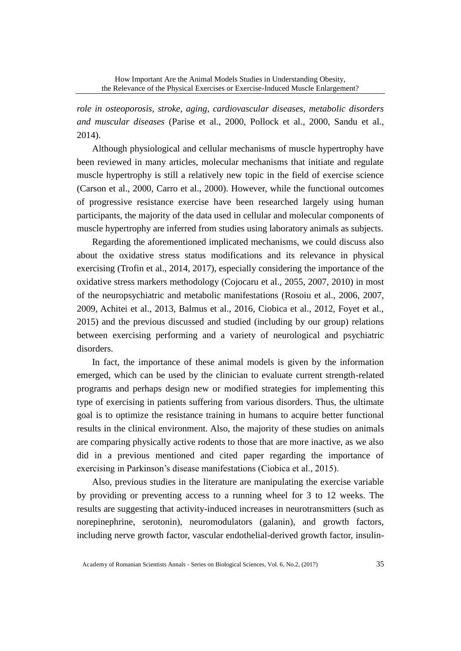*role in osteoporosis, stroke, aging, cardiovascular diseases, metabolic disorders and muscular diseases* (Parise et al., 2000, Pollock et al., 2000, Sandu et al., 2014).

 Although physiological and cellular mechanisms of muscle hypertrophy have been reviewed in many articles, molecular mechanisms that initiate and regulate muscle hypertrophy is still a relatively new topic in the field of exercise science (Carson et al., 2000, Carro et al., 2000). However, while the functional outcomes of progressive resistance exercise have been researched largely using human participants, the majority of the data used in cellular and molecular components of muscle hypertrophy are inferred from studies using laboratory animals as subjects.

Regarding the aforementioned implicated mechanisms, we could discuss also about the oxidative stress status modifications and its relevance in physical exercising (Trofin et al., 2014, 2017), especially considering the importance of the oxidative stress markers methodology (Cojocaru et al., 2055, 2007, 2010) in most of the neuropsychiatric and metabolic manifestations (Rosoiu et al., 2006, 2007, 2009, Achitei et al., 2013, Balmus et al., 2016, Ciobica et al., 2012, Foyet et al., 2015) and the previous discussed and studied (including by our group) relations between exercising performing and a variety of neurological and psychiatric disorders.

In fact, the importance of these animal models is given by the information emerged, which can be used by the clinician to evaluate current strength-related programs and perhaps design new or modified strategies for implementing this type of exercising in patients suffering from various disorders. Thus, the ultimate goal is to optimize the resistance training in humans to acquire better functional results in the clinical environment. Also, the majority of these studies on animals are comparing physically active rodents to those that are more inactive, as we also did in a previous mentioned and cited paper regarding the importance of exercising in Parkinson's disease manifestations (Ciobica et al., 2015).

Also, previous studies in the literature are manipulating the exercise variable by providing or preventing access to a running wheel for 3 to 12 weeks. The results are suggesting that activity-induced increases in neurotransmitters (such as norepinephrine, serotonin), neuromodulators (galanin), and growth factors, including nerve growth factor, vascular endothelial-derived growth factor, insulin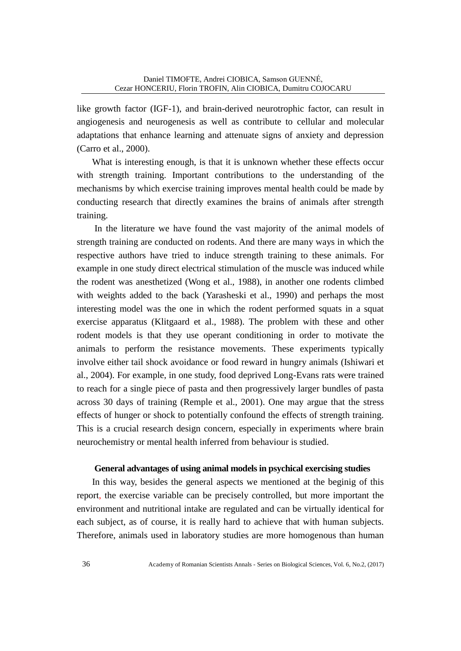like growth factor (IGF-1), and brain-derived neurotrophic factor, can result in angiogenesis and neurogenesis as well as contribute to cellular and molecular adaptations that enhance learning and attenuate signs of anxiety and depression (Carro et al., 2000).

What is interesting enough, is that it is unknown whether these effects occur with strength training. Important contributions to the understanding of the mechanisms by which exercise training improves mental health could be made by conducting research that directly examines the brains of animals after strength training.

 In the literature we have found the vast majority of the animal models of strength training are conducted on rodents. And there are many ways in which the respective authors have tried to induce strength training to these animals. For example in one study direct electrical stimulation of the muscle was induced while the rodent was anesthetized (Wong et al., 1988), in another one rodents climbed with weights added to the back (Yarasheski et al., 1990) and perhaps the most interesting model was the one in which the rodent performed squats in a squat exercise apparatus (Klitgaard et al., 1988). The problem with these and other rodent models is that they use operant conditioning in order to motivate the animals to perform the resistance movements. These experiments typically involve either tail shock avoidance or food reward in hungry animals (Ishiwari et al., 2004). For example, in one study, food deprived Long-Evans rats were trained to reach for a single piece of pasta and then progressively larger bundles of pasta across 30 days of training (Remple et al., 2001). One may argue that the stress effects of hunger or shock to potentially confound the effects of strength training. This is a crucial research design concern, especially in experiments where brain neurochemistry or mental health inferred from behaviour is studied.

## **General advantages of using animal models in psychical exercising studies**

In this way, besides the general aspects we mentioned at the beginig of this report, the exercise variable can be precisely controlled, but more important the environment and nutritional intake are regulated and can be virtually identical for each subject, as of course, it is really hard to achieve that with human subjects. Therefore, animals used in laboratory studies are more homogenous than human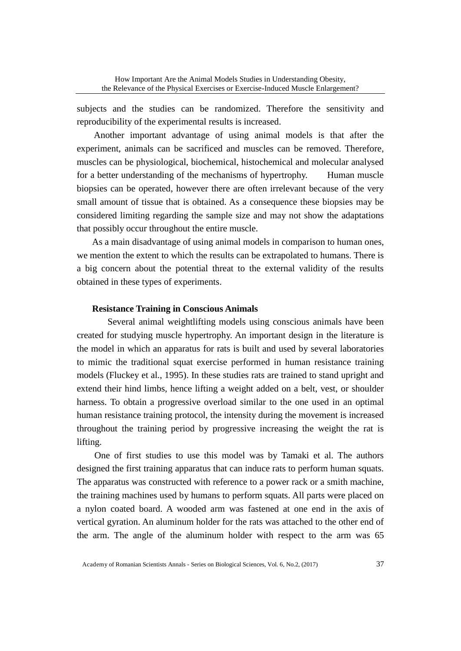subjects and the studies can be randomized. Therefore the sensitivity and reproducibility of the experimental results is increased.

Another important advantage of using animal models is that after the experiment, animals can be sacrificed and muscles can be removed. Therefore, muscles can be physiological, biochemical, histochemical and molecular analysed for a better understanding of the mechanisms of hypertrophy. Human muscle biopsies can be operated, however there are often irrelevant because of the very small amount of tissue that is obtained. As a consequence these biopsies may be considered limiting regarding the sample size and may not show the adaptations that possibly occur throughout the entire muscle.

 As a main disadvantage of using animal models in comparison to human ones, we mention the extent to which the results can be extrapolated to humans. There is a big concern about the potential threat to the external validity of the results obtained in these types of experiments.

## **Resistance Training in Conscious Animals**

 Several animal weightlifting models using conscious animals have been created for studying muscle hypertrophy. An important design in the literature is the model in which an apparatus for rats is built and used by several laboratories to mimic the traditional squat exercise performed in human resistance training models (Fluckey et al., 1995). In these studies rats are trained to stand upright and extend their hind limbs, hence lifting a weight added on a belt, vest, or shoulder harness. To obtain a progressive overload similar to the one used in an optimal human resistance training protocol, the intensity during the movement is increased throughout the training period by progressive increasing the weight the rat is lifting.

 One of first studies to use this model was by Tamaki et al. The authors designed the first training apparatus that can induce rats to perform human squats. The apparatus was constructed with reference to a power rack or a smith machine, the training machines used by humans to perform squats. All parts were placed on a nylon coated board. A wooded arm was fastened at one end in the axis of vertical gyration. An aluminum holder for the rats was attached to the other end of the arm. The angle of the aluminum holder with respect to the arm was 65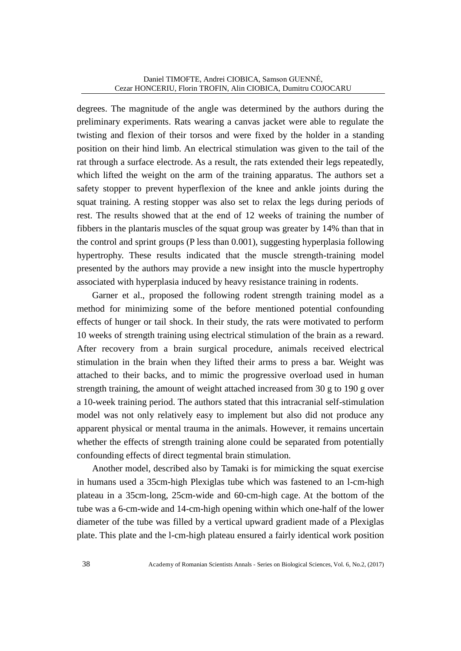degrees. The magnitude of the angle was determined by the authors during the preliminary experiments. Rats wearing a canvas jacket were able to regulate the twisting and flexion of their torsos and were fixed by the holder in a standing position on their hind limb. An electrical stimulation was given to the tail of the rat through a surface electrode. As a result, the rats extended their legs repeatedly, which lifted the weight on the arm of the training apparatus. The authors set a safety stopper to prevent hyperflexion of the knee and ankle joints during the squat training. A resting stopper was also set to relax the legs during periods of rest. The results showed that at the end of 12 weeks of training the number of fibbers in the plantaris muscles of the squat group was greater by 14% than that in the control and sprint groups (P less than 0.001), suggesting hyperplasia following hypertrophy. These results indicated that the muscle strength-training model presented by the authors may provide a new insight into the muscle hypertrophy associated with hyperplasia induced by heavy resistance training in rodents.

 Garner et al., proposed the following rodent strength training model as a method for minimizing some of the before mentioned potential confounding effects of hunger or tail shock. In their study, the rats were motivated to perform 10 weeks of strength training using electrical stimulation of the brain as a reward. After recovery from a brain surgical procedure, animals received electrical stimulation in the brain when they lifted their arms to press a bar. Weight was attached to their backs, and to mimic the progressive overload used in human strength training, the amount of weight attached increased from 30 g to 190 g over a 10-week training period. The authors stated that this intracranial self-stimulation model was not only relatively easy to implement but also did not produce any apparent physical or mental trauma in the animals. However, it remains uncertain whether the effects of strength training alone could be separated from potentially confounding effects of direct tegmental brain stimulation.

 Another model, described also by Tamaki is for mimicking the squat exercise in humans used a 35cm-high Plexiglas tube which was fastened to an l-cm-high plateau in a 35cm-long, 25cm-wide and 60-cm-high cage. At the bottom of the tube was a 6-cm-wide and 14-cm-high opening within which one-half of the lower diameter of the tube was filled by a vertical upward gradient made of a Plexiglas plate. This plate and the l-cm-high plateau ensured a fairly identical work position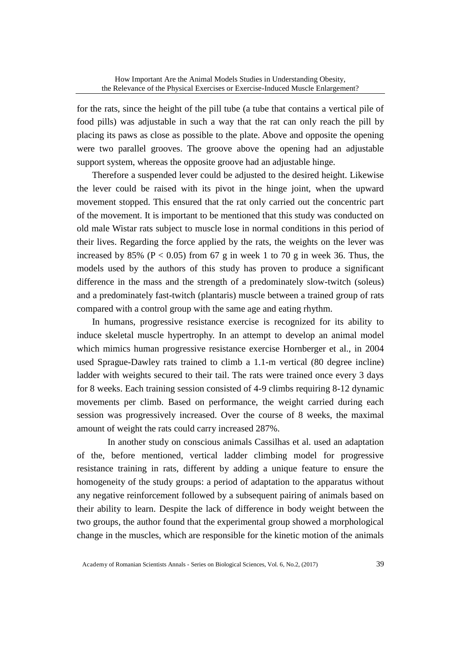for the rats, since the height of the pill tube (a tube that contains a vertical pile of food pills) was adjustable in such a way that the rat can only reach the pill by placing its paws as close as possible to the plate. Above and opposite the opening were two parallel grooves. The groove above the opening had an adjustable support system, whereas the opposite groove had an adjustable hinge.

 Therefore a suspended lever could be adjusted to the desired height. Likewise the lever could be raised with its pivot in the hinge joint, when the upward movement stopped. This ensured that the rat only carried out the concentric part of the movement. It is important to be mentioned that this study was conducted on old male Wistar rats subject to muscle lose in normal conditions in this period of their lives. Regarding the force applied by the rats, the weights on the lever was increased by 85% ( $P < 0.05$ ) from 67 g in week 1 to 70 g in week 36. Thus, the models used by the authors of this study has proven to produce a significant difference in the mass and the strength of a predominately slow-twitch (soleus) and a predominately fast-twitch (plantaris) muscle between a trained group of rats compared with a control group with the same age and eating rhythm.

 In humans, progressive resistance exercise is recognized for its ability to induce skeletal muscle hypertrophy. In an attempt to develop an animal model which mimics human progressive resistance exercise Hornberger et al., in 2004 used Sprague-Dawley rats trained to climb a 1.1-m vertical (80 degree incline) ladder with weights secured to their tail. The rats were trained once every 3 days for 8 weeks. Each training session consisted of 4-9 climbs requiring 8-12 dynamic movements per climb. Based on performance, the weight carried during each session was progressively increased. Over the course of 8 weeks, the maximal amount of weight the rats could carry increased 287%.

 In another study on conscious animals Cassilhas et al. used an adaptation of the, before mentioned, vertical ladder climbing model for progressive resistance training in rats, different by adding a unique feature to ensure the homogeneity of the study groups: a period of adaptation to the apparatus without any negative reinforcement followed by a subsequent pairing of animals based on their ability to learn. Despite the lack of difference in body weight between the two groups, the author found that the experimental group showed a morphological change in the muscles, which are responsible for the kinetic motion of the animals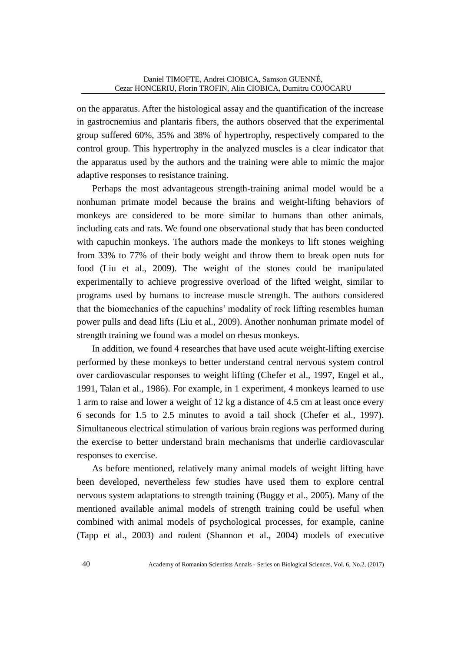on the apparatus. After the histological assay and the quantification of the increase in gastrocnemius and plantaris fibers, the authors observed that the experimental group suffered 60%, 35% and 38% of hypertrophy, respectively compared to the control group. This hypertrophy in the analyzed muscles is a clear indicator that the apparatus used by the authors and the training were able to mimic the major adaptive responses to resistance training.

 Perhaps the most advantageous strength-training animal model would be a nonhuman primate model because the brains and weight-lifting behaviors of monkeys are considered to be more similar to humans than other animals, including cats and rats. We found one observational study that has been conducted with capuchin monkeys. The authors made the monkeys to lift stones weighing from 33% to 77% of their body weight and throw them to break open nuts for food (Liu et al., 2009). The weight of the stones could be manipulated experimentally to achieve progressive overload of the lifted weight, similar to programs used by humans to increase muscle strength. The authors considered that the biomechanics of the capuchins' modality of rock lifting resembles human power pulls and dead lifts (Liu et al., 2009). Another nonhuman primate model of strength training we found was a model on rhesus monkeys.

In addition, we found 4 researches that have used acute weight-lifting exercise performed by these monkeys to better understand central nervous system control over cardiovascular responses to weight lifting (Chefer et al., 1997, Engel et al., 1991, Talan et al., 1986). For example, in 1 experiment, 4 monkeys learned to use 1 arm to raise and lower a weight of 12 kg a distance of 4.5 cm at least once every 6 seconds for 1.5 to 2.5 minutes to avoid a tail shock (Chefer et al., 1997). Simultaneous electrical stimulation of various brain regions was performed during the exercise to better understand brain mechanisms that underlie cardiovascular responses to exercise.

 As before mentioned, relatively many animal models of weight lifting have been developed, nevertheless few studies have used them to explore central nervous system adaptations to strength training (Buggy et al., 2005). Many of the mentioned available animal models of strength training could be useful when combined with animal models of psychological processes, for example, canine (Tapp et al., 2003) and rodent (Shannon et al., 2004) models of executive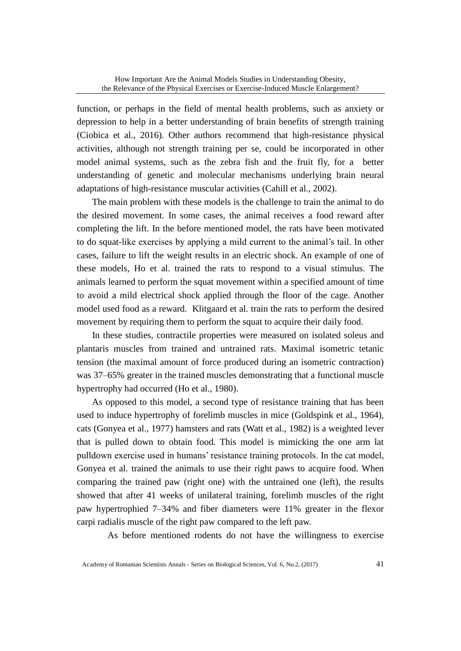function, or perhaps in the field of mental health problems, such as anxiety or depression to help in a better understanding of brain benefits of strength training (Ciobica et al., 2016). Other authors recommend that high-resistance physical activities, although not strength training per se, could be incorporated in other model animal systems, such as the zebra fish and the fruit fly, for a better understanding of genetic and molecular mechanisms underlying brain neural adaptations of high-resistance muscular activities (Cahill et al., 2002).

 The main problem with these models is the challenge to train the animal to do the desired movement. In some cases, the animal receives a food reward after completing the lift. In the before mentioned model, the rats have been motivated to do squat-like exercises by applying a mild current to the animal's tail. In other cases, failure to lift the weight results in an electric shock. An example of one of these models, Ho et al. trained the rats to respond to a visual stimulus. The animals learned to perform the squat movement within a specified amount of time to avoid a mild electrical shock applied through the floor of the cage. Another model used food as a reward. Klitgaard et al. train the rats to perform the desired movement by requiring them to perform the squat to acquire their daily food.

 In these studies, contractile properties were measured on isolated soleus and plantaris muscles from trained and untrained rats. Maximal isometric tetanic tension (the maximal amount of force produced during an isometric contraction) was 37–65% greater in the trained muscles demonstrating that a functional muscle hypertrophy had occurred (Ho et al., 1980).

 As opposed to this model, a second type of resistance training that has been used to induce hypertrophy of forelimb muscles in mice (Goldspink et al., 1964), cats (Gonyea et al., 1977) hamsters and rats (Watt et al., 1982) is a weighted lever that is pulled down to obtain food. This model is mimicking the one arm lat pulldown exercise used in humans' resistance training protocols. In the cat model, Gonyea et al. trained the animals to use their right paws to acquire food. When comparing the trained paw (right one) with the untrained one (left), the results showed that after 41 weeks of unilateral training, forelimb muscles of the right paw hypertrophied 7–34% and fiber diameters were 11% greater in the flexor carpi radialis muscle of the right paw compared to the left paw.

As before mentioned rodents do not have the willingness to exercise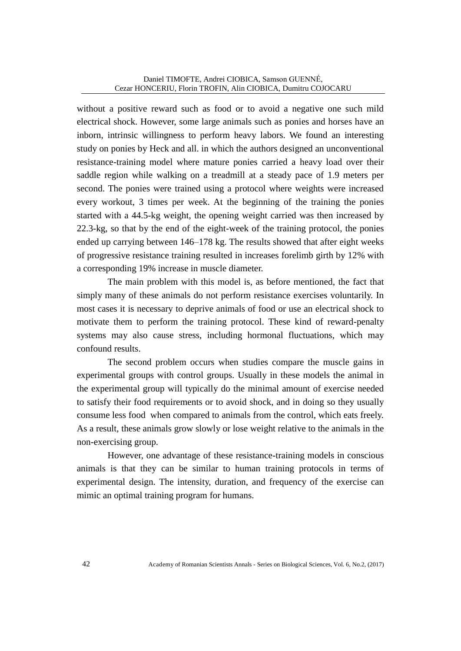without a positive reward such as food or to avoid a negative one such mild electrical shock. However, some large animals such as ponies and horses have an inborn, intrinsic willingness to perform heavy labors. We found an interesting study on ponies by Heck and all. in which the authors designed an unconventional resistance-training model where mature ponies carried a heavy load over their saddle region while walking on a treadmill at a steady pace of 1.9 meters per second. The ponies were trained using a protocol where weights were increased every workout, 3 times per week. At the beginning of the training the ponies started with a 44.5-kg weight, the opening weight carried was then increased by 22.3-kg, so that by the end of the eight-week of the training protocol, the ponies ended up carrying between 146–178 kg. The results showed that after eight weeks of progressive resistance training resulted in increases forelimb girth by 12% with a corresponding 19% increase in muscle diameter.

 The main problem with this model is, as before mentioned, the fact that simply many of these animals do not perform resistance exercises voluntarily. In most cases it is necessary to deprive animals of food or use an electrical shock to motivate them to perform the training protocol. These kind of reward-penalty systems may also cause stress, including hormonal fluctuations, which may confound results.

 The second problem occurs when studies compare the muscle gains in experimental groups with control groups. Usually in these models the animal in the experimental group will typically do the minimal amount of exercise needed to satisfy their food requirements or to avoid shock, and in doing so they usually consume less food when compared to animals from the control, which eats freely. As a result, these animals grow slowly or lose weight relative to the animals in the non-exercising group.

 However, one advantage of these resistance-training models in conscious animals is that they can be similar to human training protocols in terms of experimental design. The intensity, duration, and frequency of the exercise can mimic an optimal training program for humans.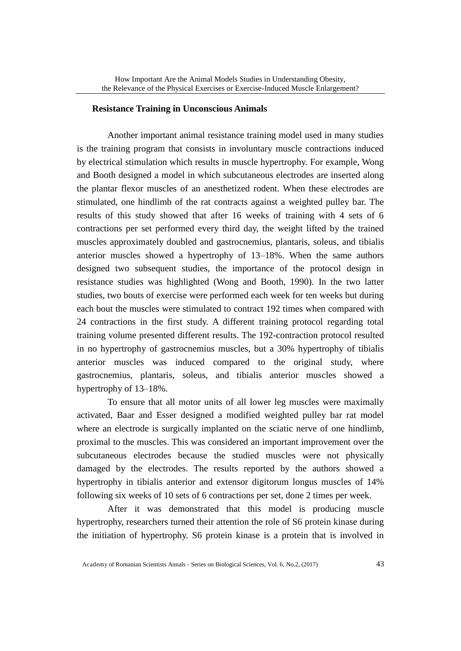#### **Resistance Training in Unconscious Animals**

 Another important animal resistance training model used in many studies is the training program that consists in involuntary muscle contractions induced by electrical stimulation which results in muscle hypertrophy. For example, Wong and Booth designed a model in which subcutaneous electrodes are inserted along the plantar flexor muscles of an anesthetized rodent. When these electrodes are stimulated, one hindlimb of the rat contracts against a weighted pulley bar. The results of this study showed that after 16 weeks of training with 4 sets of 6 contractions per set performed every third day, the weight lifted by the trained muscles approximately doubled and gastrocnemius, plantaris, soleus, and tibialis anterior muscles showed a hypertrophy of 13–18%. When the same authors designed two subsequent studies, the importance of the protocol design in resistance studies was highlighted (Wong and Booth, 1990). In the two latter studies, two bouts of exercise were performed each week for ten weeks but during each bout the muscles were stimulated to contract 192 times when compared with 24 contractions in the first study. A different training protocol regarding total training volume presented different results. The 192-contraction protocol resulted in no hypertrophy of gastrocnemius muscles, but a 30% hypertrophy of tibialis anterior muscles was induced compared to the original study, where gastrocnemius, plantaris, soleus, and tibialis anterior muscles showed a hypertrophy of 13–18%.

 To ensure that all motor units of all lower leg muscles were maximally activated, Baar and Esser designed a modified weighted pulley bar rat model where an electrode is surgically implanted on the sciatic nerve of one hindlimb, proximal to the muscles. This was considered an important improvement over the subcutaneous electrodes because the studied muscles were not physically damaged by the electrodes. The results reported by the authors showed a hypertrophy in tibialis anterior and extensor digitorum longus muscles of 14% following six weeks of 10 sets of 6 contractions per set, done 2 times per week.

 After it was demonstrated that this model is producing muscle hypertrophy, researchers turned their attention the role of S6 protein kinase during the initiation of hypertrophy. S6 protein kinase is a protein that is involved in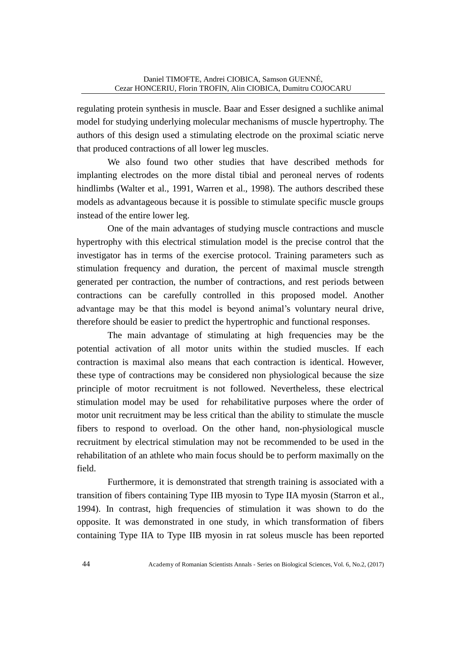regulating protein synthesis in muscle. Baar and Esser designed a suchlike animal model for studying underlying molecular mechanisms of muscle hypertrophy. The authors of this design used a stimulating electrode on the proximal sciatic nerve that produced contractions of all lower leg muscles.

We also found two other studies that have described methods for implanting electrodes on the more distal tibial and peroneal nerves of rodents hindlimbs (Walter et al., 1991, Warren et al., 1998). The authors described these models as advantageous because it is possible to stimulate specific muscle groups instead of the entire lower leg.

 One of the main advantages of studying muscle contractions and muscle hypertrophy with this electrical stimulation model is the precise control that the investigator has in terms of the exercise protocol. Training parameters such as stimulation frequency and duration, the percent of maximal muscle strength generated per contraction, the number of contractions, and rest periods between contractions can be carefully controlled in this proposed model. Another advantage may be that this model is beyond animal's voluntary neural drive, therefore should be easier to predict the hypertrophic and functional responses.

 The main advantage of stimulating at high frequencies may be the potential activation of all motor units within the studied muscles. If each contraction is maximal also means that each contraction is identical. However, these type of contractions may be considered non physiological because the size principle of motor recruitment is not followed. Nevertheless, these electrical stimulation model may be used for rehabilitative purposes where the order of motor unit recruitment may be less critical than the ability to stimulate the muscle fibers to respond to overload. On the other hand, non-physiological muscle recruitment by electrical stimulation may not be recommended to be used in the rehabilitation of an athlete who main focus should be to perform maximally on the field.

 Furthermore, it is demonstrated that strength training is associated with a transition of fibers containing Type IIB myosin to Type IIA myosin (Starron et al., 1994). In contrast, high frequencies of stimulation it was shown to do the opposite. It was demonstrated in one study, in which transformation of fibers containing Type IIA to Type IIB myosin in rat soleus muscle has been reported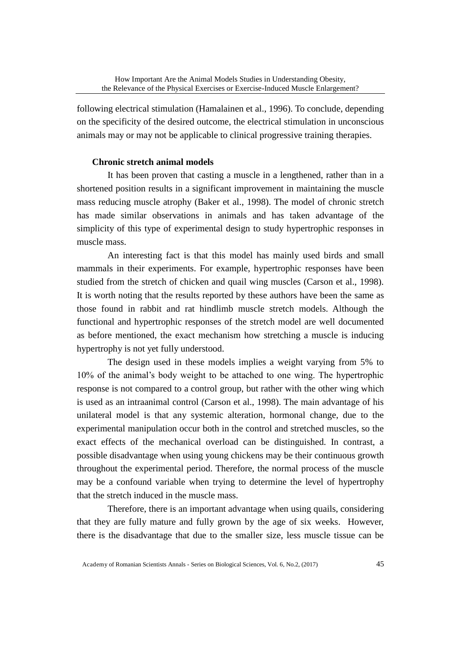following electrical stimulation (Hamalainen et al., 1996). To conclude, depending on the specificity of the desired outcome, the electrical stimulation in unconscious animals may or may not be applicable to clinical progressive training therapies.

## **Chronic stretch animal models**

 It has been proven that casting a muscle in a lengthened, rather than in a shortened position results in a significant improvement in maintaining the muscle mass reducing muscle atrophy (Baker et al., 1998). The model of chronic stretch has made similar observations in animals and has taken advantage of the simplicity of this type of experimental design to study hypertrophic responses in muscle mass.

 An interesting fact is that this model has mainly used birds and small mammals in their experiments. For example, hypertrophic responses have been studied from the stretch of chicken and quail wing muscles (Carson et al., 1998). It is worth noting that the results reported by these authors have been the same as those found in rabbit and rat hindlimb muscle stretch models. Although the functional and hypertrophic responses of the stretch model are well documented as before mentioned, the exact mechanism how stretching a muscle is inducing hypertrophy is not yet fully understood.

 The design used in these models implies a weight varying from 5% to 10% of the animal's body weight to be attached to one wing. The hypertrophic response is not compared to a control group, but rather with the other wing which is used as an intraanimal control (Carson et al., 1998). The main advantage of his unilateral model is that any systemic alteration, hormonal change, due to the experimental manipulation occur both in the control and stretched muscles, so the exact effects of the mechanical overload can be distinguished. In contrast, a possible disadvantage when using young chickens may be their continuous growth throughout the experimental period. Therefore, the normal process of the muscle may be a confound variable when trying to determine the level of hypertrophy that the stretch induced in the muscle mass.

 Therefore, there is an important advantage when using quails, considering that they are fully mature and fully grown by the age of six weeks. However, there is the disadvantage that due to the smaller size, less muscle tissue can be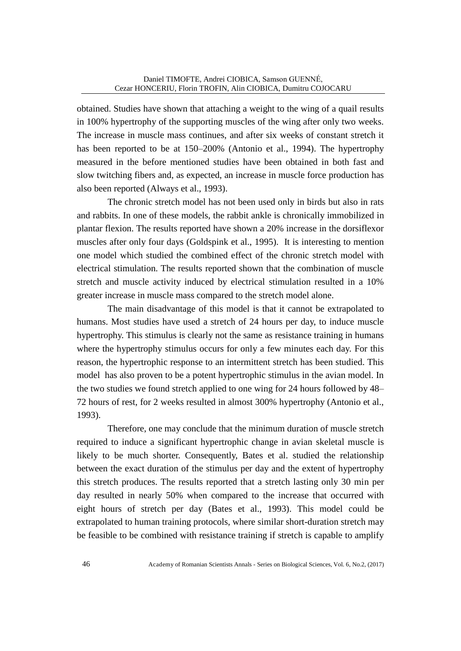obtained. Studies have shown that attaching a weight to the wing of a quail results in 100% hypertrophy of the supporting muscles of the wing after only two weeks. The increase in muscle mass continues, and after six weeks of constant stretch it has been reported to be at 150–200% (Antonio et al., 1994). The hypertrophy measured in the before mentioned studies have been obtained in both fast and slow twitching fibers and, as expected, an increase in muscle force production has also been reported (Always et al., 1993).

 The chronic stretch model has not been used only in birds but also in rats and rabbits. In one of these models, the rabbit ankle is chronically immobilized in plantar flexion. The results reported have shown a 20% increase in the dorsiflexor muscles after only four days (Goldspink et al., 1995). It is interesting to mention one model which studied the combined effect of the chronic stretch model with electrical stimulation. The results reported shown that the combination of muscle stretch and muscle activity induced by electrical stimulation resulted in a 10% greater increase in muscle mass compared to the stretch model alone.

 The main disadvantage of this model is that it cannot be extrapolated to humans. Most studies have used a stretch of 24 hours per day, to induce muscle hypertrophy. This stimulus is clearly not the same as resistance training in humans where the hypertrophy stimulus occurs for only a few minutes each day. For this reason, the hypertrophic response to an intermittent stretch has been studied. This model has also proven to be a potent hypertrophic stimulus in the avian model. In the two studies we found stretch applied to one wing for 24 hours followed by 48– 72 hours of rest, for 2 weeks resulted in almost 300% hypertrophy (Antonio et al., 1993).

 Therefore, one may conclude that the minimum duration of muscle stretch required to induce a significant hypertrophic change in avian skeletal muscle is likely to be much shorter. Consequently, Bates et al. studied the relationship between the exact duration of the stimulus per day and the extent of hypertrophy this stretch produces. The results reported that a stretch lasting only 30 min per day resulted in nearly 50% when compared to the increase that occurred with eight hours of stretch per day (Bates et al., 1993). This model could be extrapolated to human training protocols, where similar short-duration stretch may be feasible to be combined with resistance training if stretch is capable to amplify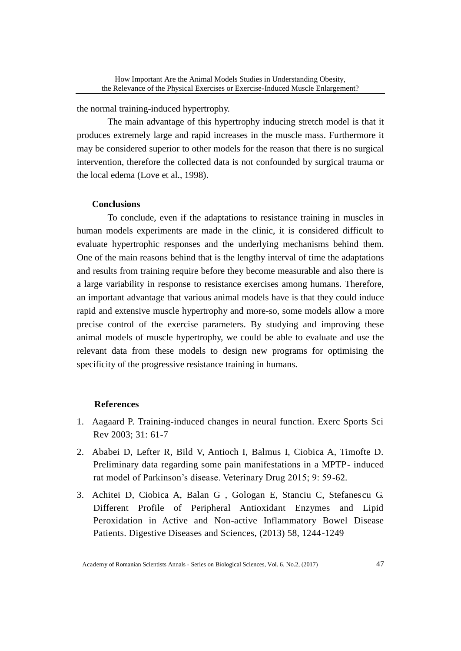the normal training-induced hypertrophy.

 The main advantage of this hypertrophy inducing stretch model is that it produces extremely large and rapid increases in the muscle mass. Furthermore it may be considered superior to other models for the reason that there is no surgical intervention, therefore the collected data is not confounded by surgical trauma or the local edema (Love et al., 1998).

## **Conclusions**

 To conclude, even if the adaptations to resistance training in muscles in human models experiments are made in the clinic, it is considered difficult to evaluate hypertrophic responses and the underlying mechanisms behind them. One of the main reasons behind that is the lengthy interval of time the adaptations and results from training require before they become measurable and also there is a large variability in response to resistance exercises among humans. Therefore, an important advantage that various animal models have is that they could induce rapid and extensive muscle hypertrophy and more-so, some models allow a more precise control of the exercise parameters. By studying and improving these animal models of muscle hypertrophy, we could be able to evaluate and use the relevant data from these models to design new programs for optimising the specificity of the progressive resistance training in humans.

#### **References**

- 1. Aagaard P. Training-induced changes in neural function. Exerc Sports Sci Rev 2003; 31: 61-7
- 2. Ababei D, Lefter R, Bild V, Antioch I, Balmus I, Ciobica A, Timofte D. Preliminary data regarding some pain manifestations in a MPTP- induced rat model of Parkinson's disease. Veterinary Drug 2015; 9: 59-62.
- 3. Achitei D, Ciobica A, Balan G , Gologan E, Stanciu C, Stefanescu G. Different Profile of Peripheral Antioxidant Enzymes and Lipid Peroxidation in Active and Non-active Inflammatory Bowel Disease Patients. Digestive Diseases and Sciences, (2013) 58, 1244-1249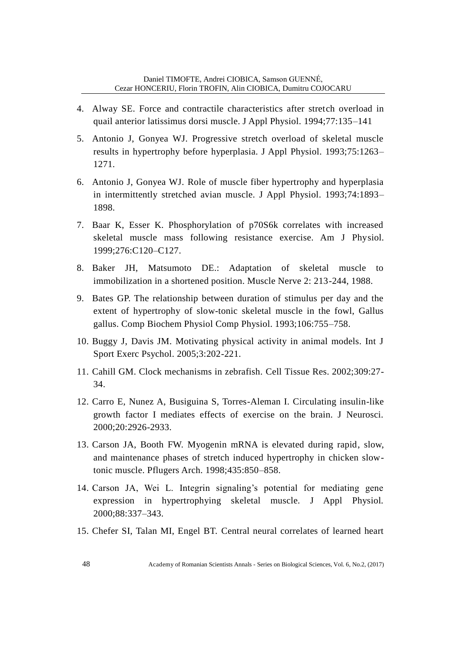- 4. Alway SE. Force and contractile characteristics after stretch overload in quail anterior latissimus dorsi muscle. J Appl Physiol. 1994;77:135–141
- 5. Antonio J, Gonyea WJ. Progressive stretch overload of skeletal muscle results in hypertrophy before hyperplasia. J Appl Physiol. 1993;75:1263– 1271.
- 6. Antonio J, Gonyea WJ. Role of muscle fiber hypertrophy and hyperplasia in intermittently stretched avian muscle. J Appl Physiol. 1993;74:1893– 1898.
- 7. Baar K, Esser K. Phosphorylation of p70S6k correlates with increased skeletal muscle mass following resistance exercise. Am J Physiol. 1999;276:C120–C127.
- 8. Baker JH, Matsumoto DE.: Adaptation of skeletal muscle to immobilization in a shortened position. Muscle Nerve 2: 213-244, 1988.
- 9. Bates GP. The relationship between duration of stimulus per day and the extent of hypertrophy of slow-tonic skeletal muscle in the fowl, Gallus gallus. Comp Biochem Physiol Comp Physiol. 1993;106:755–758.
- 10. Buggy J, Davis JM. Motivating physical activity in animal models. Int J Sport Exerc Psychol. 2005;3:202-221.
- 11. Cahill GM. Clock mechanisms in zebrafish. Cell Tissue Res. 2002;309:27- 34.
- 12. Carro E, Nunez A, Busiguina S, Torres-Aleman I. Circulating insulin-like growth factor I mediates effects of exercise on the brain. J Neurosci. 2000;20:2926-2933.
- 13. Carson JA, Booth FW. Myogenin mRNA is elevated during rapid, slow, and maintenance phases of stretch induced hypertrophy in chicken slowtonic muscle. Pflugers Arch. 1998;435:850–858.
- 14. Carson JA, Wei L. Integrin signaling's potential for mediating gene expression in hypertrophying skeletal muscle. J Appl Physiol. 2000;88:337–343.
- 15. Chefer SI, Talan MI, Engel BT. Central neural correlates of learned heart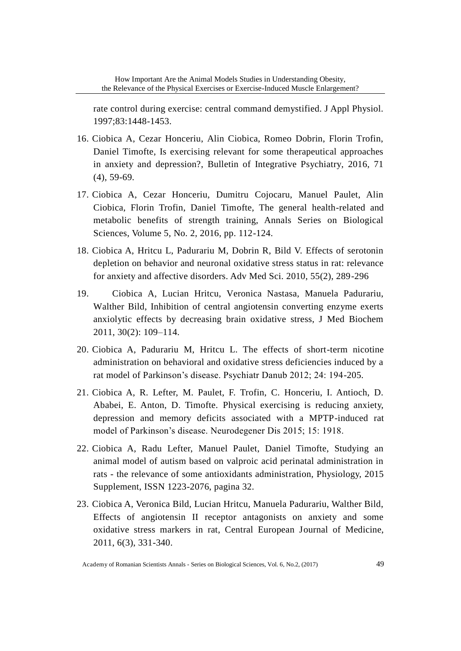rate control during exercise: central command demystified. J Appl Physiol. 1997;83:1448-1453.

- 16. Ciobica A, Cezar Honceriu, Alin Ciobica, Romeo Dobrin, Florin Trofin, Daniel Timofte, Is exercising relevant for some therapeutical approaches in anxiety and depression?, Bulletin of Integrative Psychiatry, 2016, 71 (4), 59-69.
- 17. Ciobica A, Cezar Honceriu, Dumitru Cojocaru, Manuel Paulet, Alin Ciobica, Florin Trofin, Daniel Timofte, The general health-related and metabolic benefits of strength training, Annals Series on Biological Sciences, Volume 5, No. 2, 2016, pp. 112-124.
- 18. Ciobica A, Hritcu L, Padurariu M, Dobrin R, Bild V. Effects of serotonin depletion on behavior and neuronal oxidative stress status in rat: relevance for anxiety and affective disorders. Adv Med Sci. 2010, 55(2), 289-296
- 19. Ciobica A, Lucian Hritcu, Veronica Nastasa, Manuela Padurariu, Walther Bild, Inhibition of central angiotensin converting enzyme exerts anxiolytic effects by decreasing brain oxidative stress, J Med Biochem 2011, 30(2): 109–114.
- 20. Ciobica A, Padurariu M, Hritcu L. The effects of short-term nicotine administration on behavioral and oxidative stress deficiencies induced by a rat model of Parkinson's disease. Psychiatr Danub 2012; 24: 194-205.
- 21. Ciobica A, R. Lefter, M. Paulet, F. Trofin, C. Honceriu, I. Antioch, D. Ababei, E. Anton, D. Timofte. Physical exercising is reducing anxiety, depression and memory deficits associated with a MPTP-induced rat model of Parkinson's disease. Neurodegener Dis 2015; 15: 1918.
- 22. Ciobica A, Radu Lefter, Manuel Paulet, Daniel Timofte, Studying an animal model of autism based on valproic acid perinatal administration in rats - the relevance of some antioxidants administration, Physiology, 2015 Supplement, ISSN 1223-2076, pagina 32.
- 23. Ciobica A, Veronica Bild, Lucian Hritcu, Manuela Padurariu, Walther Bild, Effects of angiotensin II receptor antagonists on anxiety and some oxidative stress markers in rat, Central European Journal of Medicine, 2011, 6(3), 331-340.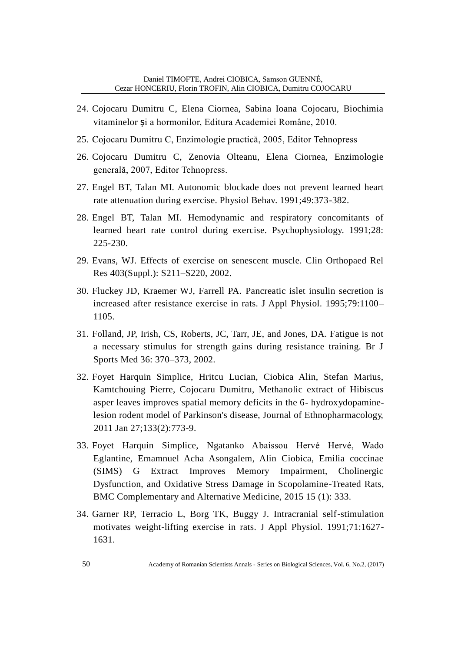- 24. Cojocaru Dumitru C, Elena Ciornea, Sabina Ioana Cojocaru, Biochimia vitaminelor și a hormonilor, Editura Academiei Române, 2010.
- 25. Cojocaru Dumitru C, Enzimologie practică, 2005, Editor Tehnopress
- 26. Cojocaru Dumitru C, Zenovia Olteanu, Elena Ciornea, Enzimologie generală, 2007, Editor Tehnopress.
- 27. Engel BT, Talan MI. Autonomic blockade does not prevent learned heart rate attenuation during exercise. Physiol Behav. 1991;49:373-382.
- 28. Engel BT, Talan MI. Hemodynamic and respiratory concomitants of learned heart rate control during exercise. Psychophysiology. 1991;28: 225-230.
- 29. Evans, WJ. Effects of exercise on senescent muscle. Clin Orthopaed Rel Res 403(Suppl.): S211–S220, 2002.
- 30. Fluckey JD, Kraemer WJ, Farrell PA. Pancreatic islet insulin secretion is increased after resistance exercise in rats. J Appl Physiol. 1995;79:1100– 1105.
- 31. Folland, JP, Irish, CS, Roberts, JC, Tarr, JE, and Jones, DA. Fatigue is not a necessary stimulus for strength gains during resistance training. Br J Sports Med 36: 370–373, 2002.
- 32. Foyet Harquin Simplice, Hritcu Lucian, Ciobica Alin, Stefan Marius, Kamtchouing Pierre, Cojocaru Dumitru, Methanolic extract of Hibiscus asper leaves improves spatial memory deficits in the 6- hydroxydopaminelesion rodent model of Parkinson's disease, Journal of Ethnopharmacology, 2011 Jan 27;133(2):773-9.
- 33. Foyet Harquin Simplice, Ngatanko Abaissou Hervé Hervé, Wado Eglantine, Emamnuel Acha Asongalem, Alin Ciobica, Emilia coccinae (SIMS) G Extract Improves Memory Impairment, Cholinergic Dysfunction, and Oxidative Stress Damage in Scopolamine-Treated Rats, BMC Complementary and Alternative Medicine, 2015 15 (1): 333.
- 34. Garner RP, Terracio L, Borg TK, Buggy J. Intracranial self-stimulation motivates weight-lifting exercise in rats. J Appl Physiol. 1991;71:1627- 1631.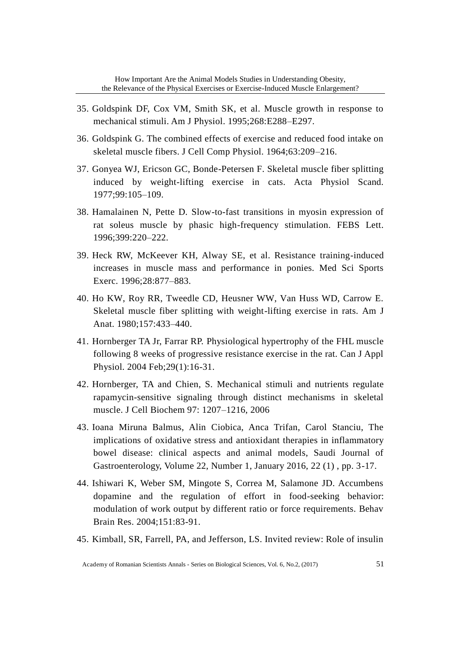- 35. Goldspink DF, Cox VM, Smith SK, et al. Muscle growth in response to mechanical stimuli. Am J Physiol. 1995;268:E288–E297.
- 36. Goldspink G. The combined effects of exercise and reduced food intake on skeletal muscle fibers. J Cell Comp Physiol. 1964;63:209–216.
- 37. Gonyea WJ, Ericson GC, Bonde-Petersen F. Skeletal muscle fiber splitting induced by weight-lifting exercise in cats. Acta Physiol Scand. 1977;99:105–109.
- 38. Hamalainen N, Pette D. Slow-to-fast transitions in myosin expression of rat soleus muscle by phasic high-frequency stimulation. FEBS Lett. 1996;399:220–222.
- 39. Heck RW, McKeever KH, Alway SE, et al. Resistance training-induced increases in muscle mass and performance in ponies. Med Sci Sports Exerc. 1996;28:877–883.
- 40. Ho KW, Roy RR, Tweedle CD, Heusner WW, Van Huss WD, Carrow E. Skeletal muscle fiber splitting with weight-lifting exercise in rats. Am J Anat. 1980;157:433–440.
- 41. Hornberger TA Jr, Farrar RP. Physiological hypertrophy of the FHL muscle following 8 weeks of progressive resistance exercise in the rat. Can J Appl Physiol. 2004 Feb;29(1):16-31.
- 42. Hornberger, TA and Chien, S. Mechanical stimuli and nutrients regulate rapamycin-sensitive signaling through distinct mechanisms in skeletal muscle. J Cell Biochem 97: 1207–1216, 2006
- 43. Ioana Miruna Balmus, Alin Ciobica, Anca Trifan, Carol Stanciu, The implications of oxidative stress and antioxidant therapies in inflammatory bowel disease: clinical aspects and animal models, Saudi Journal of Gastroenterology, Volume 22, Number 1, January 2016, 22 (1) , pp. 3-17.
- 44. Ishiwari K, Weber SM, Mingote S, Correa M, Salamone JD. Accumbens dopamine and the regulation of effort in food-seeking behavior: modulation of work output by different ratio or force requirements. Behav Brain Res. 2004;151:83-91.
- 45. Kimball, SR, Farrell, PA, and Jefferson, LS. Invited review: Role of insulin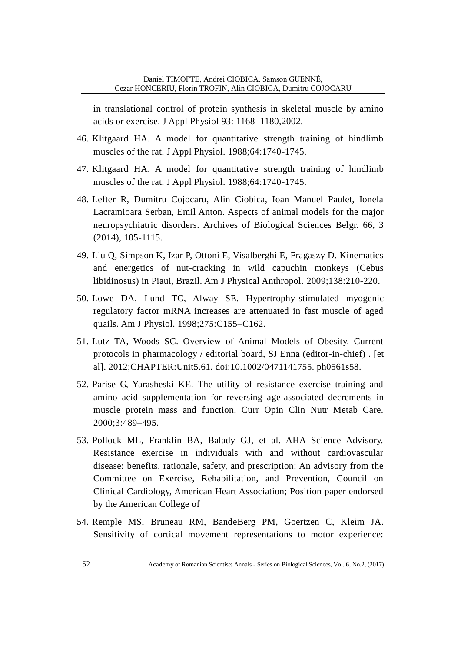in translational control of protein synthesis in skeletal muscle by amino acids or exercise. J Appl Physiol 93: 1168–1180,2002.

- 46. Klitgaard HA. A model for quantitative strength training of hindlimb muscles of the rat. J Appl Physiol. 1988;64:1740-1745.
- 47. Klitgaard HA. A model for quantitative strength training of hindlimb muscles of the rat. J Appl Physiol. 1988;64:1740-1745.
- 48. Lefter R, Dumitru Cojocaru, Alin Ciobica, Ioan Manuel Paulet, Ionela Lacramioara Serban, Emil Anton. Aspects of animal models for the major neuropsychiatric disorders. Archives of Biological Sciences Belgr. 66, 3 (2014), 105-1115.
- 49. Liu Q, Simpson K, Izar P, Ottoni E, Visalberghi E, Fragaszy D. Kinematics and energetics of nut-cracking in wild capuchin monkeys (Cebus libidinosus) in Piaui, Brazil. Am J Physical Anthropol. 2009;138:210-220.
- 50. Lowe DA, Lund TC, Alway SE. Hypertrophy-stimulated myogenic regulatory factor mRNA increases are attenuated in fast muscle of aged quails. Am J Physiol. 1998;275:C155–C162.
- 51. Lutz TA, Woods SC. Overview of Animal Models of Obesity. Current protocols in pharmacology / editorial board, SJ Enna (editor-in-chief) . [et al]. 2012;CHAPTER:Unit5.61. doi:10.1002/0471141755. ph0561s58.
- 52. Parise G, Yarasheski KE. The utility of resistance exercise training and amino acid supplementation for reversing age-associated decrements in muscle protein mass and function. Curr Opin Clin Nutr Metab Care. 2000;3:489–495.
- 53. Pollock ML, Franklin BA, Balady GJ, et al. AHA Science Advisory. Resistance exercise in individuals with and without cardiovascular disease: benefits, rationale, safety, and prescription: An advisory from the Committee on Exercise, Rehabilitation, and Prevention, Council on Clinical Cardiology, American Heart Association; Position paper endorsed by the American College of
- 54. Remple MS, Bruneau RM, BandeBerg PM, Goertzen C, Kleim JA. Sensitivity of cortical movement representations to motor experience: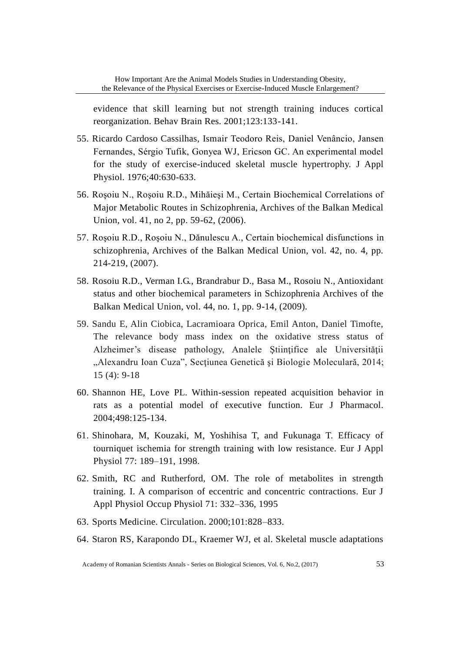evidence that skill learning but not strength training induces cortical reorganization. Behav Brain Res. 2001;123:133-141.

- 55. Ricardo Cardoso Cassilhas, Ismair Teodoro Reis, Daniel Venâncio, Jansen Fernandes, Sérgio Tufik, Gonyea WJ, Ericson GC. An experimental model for the study of exercise-induced skeletal muscle hypertrophy. J Appl Physiol. 1976;40:630-633.
- 56. Roşoiu N., Roşoiu R.D., Mihăieşi M., Certain Biochemical Correlations of Major Metabolic Routes in Schizophrenia, Archives of the Balkan Medical Union, vol. 41, no 2, pp. 59-62, (2006).
- 57. Roşoiu R.D., Roşoiu N., Dănulescu A., Certain biochemical disfunctions in schizophrenia, Archives of the Balkan Medical Union, vol. 42, no. 4, pp. 214-219, (2007).
- 58. Rosoiu R.D., Verman I.G., Brandrabur D., Basa M., Rosoiu N., Antioxidant status and other biochemical parameters in Schizophrenia Archives of the Balkan Medical Union, vol. 44, no. 1, pp. 9-14, (2009).
- 59. Sandu E, Alin Ciobica, Lacramioara Oprica, Emil Anton, Daniel Timofte, The relevance body mass index on the oxidative stress status of Alzheimer's disease pathology, Analele Științifice ale Universității "Alexandru Ioan Cuza", Secțiunea Genetică și Biologie Moleculară, 2014; 15 (4): 9-18
- 60. Shannon HE, Love PL. Within-session repeated acquisition behavior in rats as a potential model of executive function. Eur J Pharmacol. 2004;498:125-134.
- 61. Shinohara, M, Kouzaki, M, Yoshihisa T, and Fukunaga T. Efficacy of tourniquet ischemia for strength training with low resistance. Eur J Appl Physiol 77: 189–191, 1998.
- 62. Smith, RC and Rutherford, OM. The role of metabolites in strength training. I. A comparison of eccentric and concentric contractions. Eur J Appl Physiol Occup Physiol 71: 332–336, 1995
- 63. Sports Medicine. Circulation. 2000;101:828–833.
- 64. Staron RS, Karapondo DL, Kraemer WJ, et al. Skeletal muscle adaptations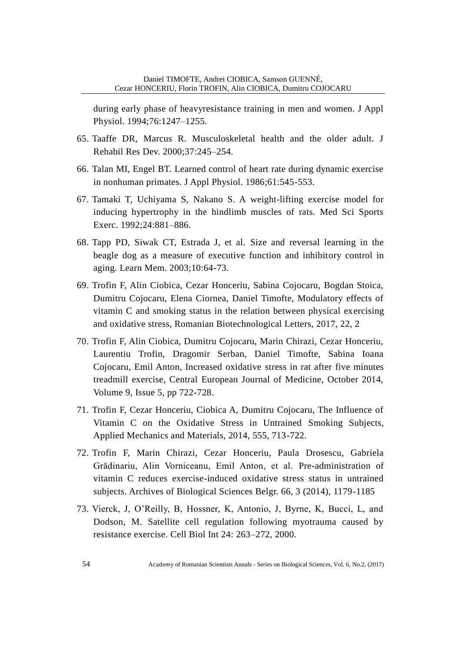during early phase of heavyresistance training in men and women. J Appl Physiol. 1994;76:1247–1255.

- 65. Taaffe DR, Marcus R. Musculoskeletal health and the older adult. J Rehabil Res Dev. 2000;37:245–254.
- 66. Talan MI, Engel BT. Learned control of heart rate during dynamic exercise in nonhuman primates. J Appl Physiol. 1986;61:545-553.
- 67. Tamaki T, Uchiyama S, Nakano S. A weight-lifting exercise model for inducing hypertrophy in the hindlimb muscles of rats. Med Sci Sports Exerc. 1992;24:881–886.
- 68. Tapp PD, Siwak CT, Estrada J, et al. Size and reversal learning in the beagle dog as a measure of executive function and inhibitory control in aging. Learn Mem. 2003;10:64-73.
- 69. Trofin F, Alin Ciobica, Cezar Honceriu, Sabina Cojocaru, Bogdan Stoica, Dumitru Cojocaru, Elena Ciornea, Daniel Timofte, Modulatory effects of vitamin C and smoking status in the relation between physical exercising and oxidative stress, Romanian Biotechnological Letters, 2017, 22, 2
- 70. Trofin F, Alin Ciobica, Dumitru Cojocaru, Marin Chirazi, Cezar Honceriu, Laurentiu Trofin, Dragomir Serban, Daniel Timofte, Sabina Ioana Cojocaru, Emil Anton, Increased oxidative stress in rat after five minutes treadmill exercise, Central European Journal of Medicine, October 2014, Volume 9, Issue 5, pp 722-728.
- 71. Trofin F, Cezar Honceriu, Ciobica A, Dumitru Cojocaru, The Influence of Vitamin C on the Oxidative Stress in Untrained Smoking Subjects, Applied Mechanics and Materials, 2014, 555, 713-722.
- 72. Trofin F, Marin Chirazi, Cezar Honceriu, Paula Drosescu, Gabriela Grădinariu, Alin Vorniceanu, Emil Anton, et al. Pre-administration of vitamin C reduces exercise-induced oxidative stress status in untrained subjects. Archives of Biological Sciences Belgr. 66, 3 (2014), 1179-1185
- 73. Vierck, J, O'Reilly, B, Hossner, K, Antonio, J, Byrne, K, Bucci, L, and Dodson, M. Satellite cell regulation following myotrauma caused by resistance exercise. Cell Biol Int 24: 263–272, 2000.